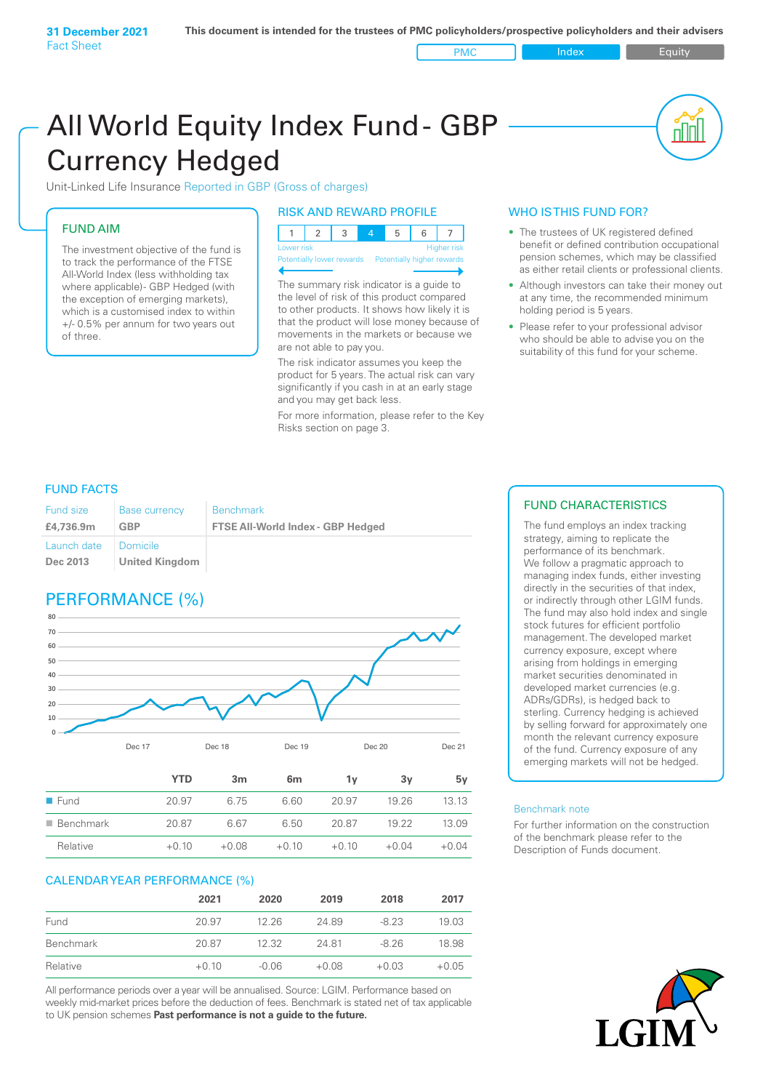**31 December 2021** Fact Sheet

PMC Index PMC Equity

nl M

# All World Equity Index Fund- GBP Currency Hedged

Unit-Linked Life Insurance Reported in GBP (Gross of charges)

### FUND AIM

The investment objective of the fund is to track the performance of the FTSE All-World Index (less withholding tax where applicable)- GBP Hedged (with the exception of emerging markets), which is a customised index to within +/- 0.5% per annum for two years out of three.

### RISK AND REWARD PROFILE

| Lower risk |  |  |  | <b>Higher</b> risk |
|------------|--|--|--|--------------------|

ntially lower rewards Potentially higher rey

The summary risk indicator is a guide to the level of risk of this product compared to other products. It shows how likely it is that the product will lose money because of movements in the markets or because we are not able to pay you.

The risk indicator assumes you keep the product for 5 years. The actual risk can vary significantly if you cash in at an early stage and you may get back less.

For more information, please refer to the Key Risks section on page 3.

### WHO IS THIS FUND FOR?

- The trustees of UK registered defined benefit or defined contribution occupational pension schemes, which may be classified as either retail clients or professional clients.
- Although investors can take their money out at any time, the recommended minimum holding period is 5 years.
- Please refer to your professional advisor who should be able to advise you on the suitability of this fund for your scheme.

### FUND FACTS

| Fund size               | <b>Base currency</b>                | <b>Benchmark</b>                         |
|-------------------------|-------------------------------------|------------------------------------------|
| £4,736.9m               | GBP                                 | <b>FTSE All-World Index - GBP Hedged</b> |
| Launch date<br>Dec 2013 | I Domicile<br><b>United Kingdom</b> |                                          |

## PERFORMANCE (%)



|                          | YTD     | 3m      | 6m      | ٦v      | З٧      | 5v      |
|--------------------------|---------|---------|---------|---------|---------|---------|
| $\blacksquare$ Fund      | 20.97   | 6.75    | 6.60    | 20.97   | 19 26   | 1313    |
| $\blacksquare$ Benchmark | 20.87   | 667     | 6.50    | 20.87   | 19.22   | 13 09   |
| Relative                 | $+0.10$ | $+0.08$ | $+0.10$ | $+0.10$ | $+0.04$ | $+0.04$ |

### CALENDAR YEAR PERFORMANCE (%)

|           | 2021    | 2020    | 2019    | 2018    | 2017    |
|-----------|---------|---------|---------|---------|---------|
| Fund      | 20.97   | 12.26   | 24.89   | $-8.23$ | 19.03   |
| Benchmark | 20.87   | 12.32   | 2481    | -8.26   | 18.98   |
| Relative  | $+0.10$ | $-0.06$ | $+0.08$ | $+0.03$ | $+0.05$ |

All performance periods over a year will be annualised. Source: LGIM. Performance based on weekly mid-market prices before the deduction of fees. Benchmark is stated net of tax applicable to UK pension schemes **Past performance is not a guide to the future.**

### FUND CHARACTERISTICS

The fund employs an index tracking strategy, aiming to replicate the performance of its benchmark. We follow a pragmatic approach to managing index funds, either investing directly in the securities of that index, or indirectly through other LGIM funds. The fund may also hold index and single stock futures for efficient portfolio management. The developed market currency exposure, except where arising from holdings in emerging market securities denominated in developed market currencies (e.g. ADRs/GDRs), is hedged back to sterling. Currency hedging is achieved by selling forward for approximately one month the relevant currency exposure of the fund. Currency exposure of any emerging markets will not be hedged.

#### Benchmark note

For further information on the construction of the benchmark please refer to the Description of Funds document.

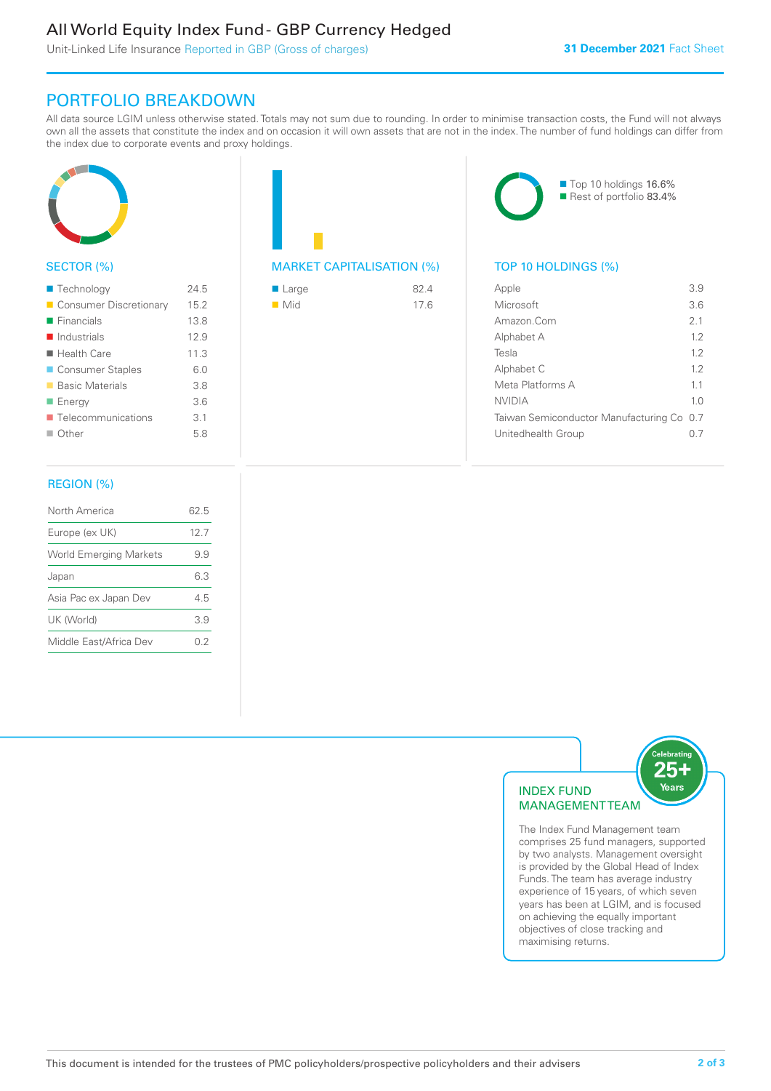### All World Equity Index Fund - GBP Currency Hedged

Unit-Linked Life Insurance Reported in GBP (Gross of charges)

### PORTFOLIO BREAKDOWN

All data source LGIM unless otherwise stated. Totals may not sum due to rounding. In order to minimise transaction costs, the Fund will not always own all the assets that constitute the index and on occasion it will own assets that are not in the index. The number of fund holdings can differ from the index due to corporate events and proxy holdings.



### SECTOR (%)

| ■ Technology               | 245  |
|----------------------------|------|
| Consumer Discretionary     | 15.2 |
| $\blacksquare$ Financials  | 13.8 |
| $\blacksquare$ Industrials | 12.9 |
| $\blacksquare$ Health Care | 11.3 |
| ■ Consumer Staples         | 60   |
| ■ Basic Materials          | 3.8  |
| ■ Energy                   | 3.6  |
| ■ Telecommunications       | 3.1  |
| $\blacksquare$ Other       | 5.8  |
|                            |      |

### MARKET CAPITALISATION (%) TOP 10 HOLDINGS (%)

| ■ Large            | 82.4 |
|--------------------|------|
| $\blacksquare$ Mid | 17.6 |



| Apple                                     | 3.9            |
|-------------------------------------------|----------------|
| Microsoft                                 | 3.6            |
| Amazon Com                                | 21             |
| Alphabet A                                | 1.2            |
| Tesla                                     | 12             |
| Alphabet C                                | 12             |
| Meta Platforms A                          | 11             |
| NVIDIA                                    | 1 <sub>0</sub> |
| Taiwan Semiconductor Manufacturing Co 0.7 |                |
| Unitedhealth Group                        |                |
|                                           |                |

### REGION (%)

| North America                 | 62.5 |
|-------------------------------|------|
| Europe (ex UK)                | 12.7 |
| <b>World Emerging Markets</b> | 99   |
| Japan                         | 63   |
| Asia Pac ex Japan Dev         | 45   |
| UK (World)                    | 39   |
| Middle East/Africa Dev        | 02   |
|                               |      |



comprises 25 fund managers, supported by two analysts. Management oversight is provided by the Global Head of Index Funds. The team has average industry experience of 15 years, of which seven years has been at LGIM, and is focused on achieving the equally important objectives of close tracking and maximising returns.